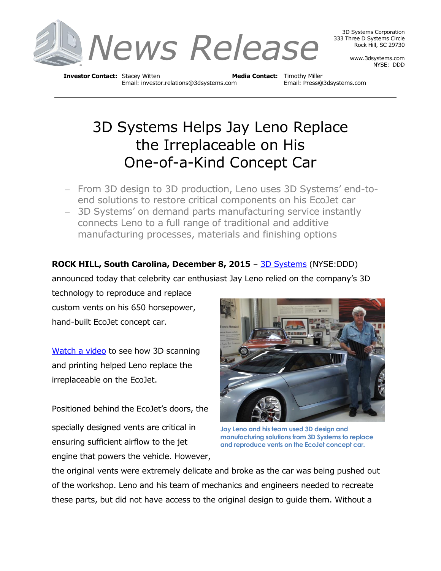

3D Systems Corporation 333 Three D Systems Circle Rock Hill, SC 29730

> www.3dsystems.com NYSE: DDD

**Investor Contact:** Stacey Witten **Media Contact:** Timothy Miller Email: investor.relations@3dsystems.com Email: Press@3dsystems.com

## 3D Systems Helps Jay Leno Replace the Irreplaceable on His One-of-a-Kind Concept Car

- From 3D design to 3D production, Leno uses 3D Systems' end-toend solutions to restore critical components on his EcoJet car
- 3D Systems' on demand parts manufacturing service instantly connects Leno to a full range of traditional and additive manufacturing processes, materials and finishing options

## **ROCK HILL, South Carolina, December 8, 2015** - [3D Systems](http://3dsystems.com/) (NYSE:DDD)

announced today that celebrity car enthusiast Jay Leno relied on the company's 3D

technology to reproduce and replace custom vents on his 650 horsepower, hand-built EcoJet concept car.

[Watch a video](https://www.youtube.com/watch?v=OzIGfcIyBnc) to see how 3D scanning and printing helped Leno replace the irreplaceable on the EcoJet.

Positioned behind the EcoJet's doors, the specially designed vents are critical in ensuring sufficient airflow to the jet engine that powers the vehicle. However,



**Jay Leno and his team used 3D design and manufacturing solutions from 3D Systems to replace and reproduce vents on the EcoJet concept car.**

the original vents were extremely delicate and broke as the car was being pushed out of the workshop. Leno and his team of mechanics and engineers needed to recreate these parts, but did not have access to the original design to guide them. Without a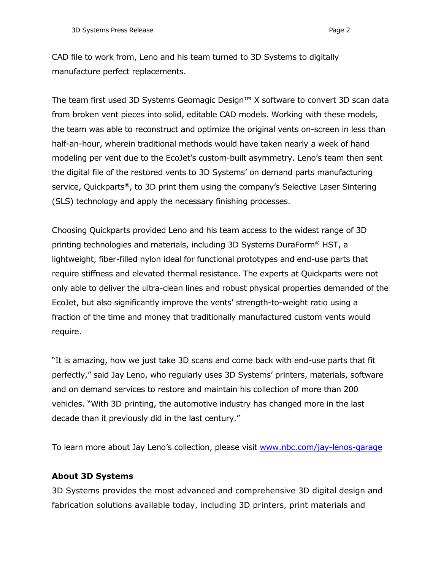CAD file to work from, Leno and his team turned to 3D Systems to digitally manufacture perfect replacements.

The team first used 3D Systems Geomagic Design™ X software to convert 3D scan data from broken vent pieces into solid, editable CAD models. Working with these models, the team was able to reconstruct and optimize the original vents on-screen in less than half-an-hour, wherein traditional methods would have taken nearly a week of hand modeling per vent due to the EcoJet's custom-built asymmetry. Leno's team then sent the digital file of the restored vents to 3D Systems' on demand parts manufacturing service, Quickparts®, to 3D print them using the company's Selective Laser Sintering (SLS) technology and apply the necessary finishing processes.

Choosing Quickparts provided Leno and his team access to the widest range of 3D printing technologies and materials, including 3D Systems DuraForm® HST, a lightweight, fiber-filled nylon ideal for functional prototypes and end-use parts that require stiffness and elevated thermal resistance. The experts at Quickparts were not only able to deliver the ultra-clean lines and robust physical properties demanded of the EcoJet, but also significantly improve the vents' strength-to-weight ratio using a fraction of the time and money that traditionally manufactured custom vents would require.

"It is amazing, how we just take 3D scans and come back with end-use parts that fit perfectly," said Jay Leno, who regularly uses 3D Systems' printers, materials, software and on demand services to restore and maintain his collection of more than 200 vehicles. "With 3D printing, the automotive industry has changed more in the last decade than it previously did in the last century."

To learn more about Jay Leno's collection, please visit [www.nbc.com/jay-lenos-garage](http://www.nbc.com/jay-lenos-garage)

## **About 3D Systems**

3D Systems provides the most advanced and comprehensive 3D digital design and fabrication solutions available today, including 3D printers, print materials and